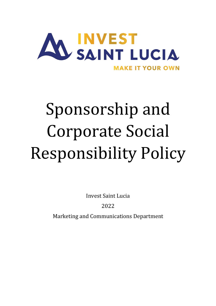

# Sponsorship and Corporate Social Responsibility Policy

Invest Saint Lucia

2022

Marketing and Communications Department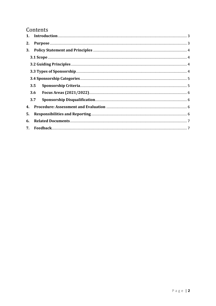# Contents

| 2. |     |  |  |  |
|----|-----|--|--|--|
| 3. |     |  |  |  |
|    |     |  |  |  |
|    |     |  |  |  |
|    |     |  |  |  |
|    |     |  |  |  |
|    | 3.5 |  |  |  |
|    | 3.6 |  |  |  |
|    | 3.7 |  |  |  |
| 4. |     |  |  |  |
| 5. |     |  |  |  |
| 6. |     |  |  |  |
|    |     |  |  |  |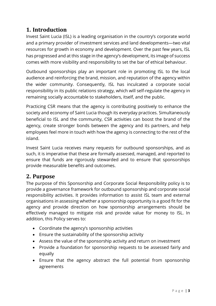# **1. Introduction**

Invest Saint Lucia (ISL) is a leading organisation in the country's corporate world and a primary provider of investment services and land developments—two vital resources for growth in economy and development. Over the past few years, ISL has progressed and at this stage in the agency's development, its image of success comes with more visibility and responsibility to set the bar of ethical behaviour.

Outbound sponsorships play an important role in promoting ISL to the local audience and reinforcing the brand, mission, and reputation of the agency within the wider community. Consequently, ISL has inculcated a corporate social responsibility in its public relations strategy, which will self-regulate the agency in remaining socially accountable to stakeholders, itself, and the public.

Practicing CSR means that the agency is contributing positively to enhance the society and economy of Saint Lucia though its everyday practices. Simultaneously beneficial to ISL and the community, CSR activities can boost the brand of the agency, create stronger bonds between the agency and its partners, and help employees feel more in touch with how the agency is connecting to the rest of the island.

Invest Saint Lucia receives many requests for outbound sponsorships, and as such, it is imperative that these are formally assessed, managed, and reported to ensure that funds are rigorously stewarded and to ensure that sponsorships provide measurable benefits and outcomes.

# **2. Purpose**

The purpose of this Sponsorship and Corporate Social Responsibility policy is to provide a governance framework for outbound sponsorship and corporate social responsibility activities. It provides information to assist ISL team and external organisations in assessing whether a sponsorship opportunity is a good fit for the agency and provide direction on how sponsorship arrangements should be effectively managed to mitigate risk and provide value for money to ISL. In addition, this Policy serves to:

- Coordinate the agency's sponsorship activities
- Ensure the sustainability of the sponsorship activity
- Assess the value of the sponsorship activity and return on investment
- Provide a foundation for sponsorship requests to be assessed fairly and equally
- Ensure that the agency abstract the full potential from sponsorship agreements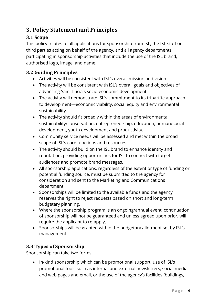# **3. Policy Statement and Principles**

## **3.1 Scope**

This policy relates to all applications for sponsorship from ISL, the ISL staff or third parties acting on behalf of the agency, and all agency departments participating in sponsorship activities that include the use of the ISL brand, authorised logo, image, and name.

#### **3.2 Guiding Principles**

- Activities will be consistent with ISL's overall mission and vision.
- The activity will be consistent with ISL's overall goals and objectives of advancing Saint Lucia's socio-economic development.
- The activity will demonstrate ISL's commitment to its tripartite approach to development—economic viability, social equity and environmental sustainability.
- The activity should fit broadly within the areas of environmental sustainability/conservation, entrepreneurship, education, human/social development, youth development and productivity.
- Community service needs will be assessed and met within the broad scope of ISL's core functions and resources.
- The activity should build on the ISL brand to enhance identity and reputation, providing opportunities for ISL to connect with target audiences and promote brand messages.
- All sponsorship applications, regardless of the extent or type of funding or potential funding source, must be submitted to the agency for consideration and sent to the Marketing and Communications department.
- Sponsorships will be limited to the available funds and the agency reserves the right to reject requests based on short and long-term budgetary planning.
- Where the sponsorship program is an ongoing/annual event, continuation of sponsorship will not be guaranteed and unless agreed upon prior, will require the applicant to re-apply.
- Sponsorships will be granted within the budgetary allotment set by ISL's management.

#### **3.3 Types of Sponsorship**

Sponsorship can take two forms:

• In-kind sponsorship which can be promotional support, use of ISL's promotional tools such as internal and external newsletters, social media and web pages and email, or the use of the agency's facilities (buildings,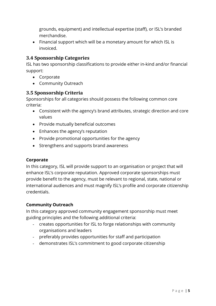grounds, equipment) and intellectual expertise (staff), or ISL's branded merchandise.

• Financial support which will be a monetary amount for which ISL is invoiced.

#### **3.4 Sponsorship Categories**

ISL has two sponsorship classifications to provide either in-kind and/or financial support:

- Corporate
- Community Outreach

#### **3.5 Sponsorship Criteria**

Sponsorships for all categories should possess the following common core criteria:

- Consistent with the agency's brand attributes, strategic direction and core values
- Provide mutually beneficial outcomes
- Enhances the agency's reputation
- Provide promotional opportunities for the agency
- Strengthens and supports brand awareness

#### **Corporate**

In this category, ISL will provide support to an organisation or project that will enhance ISL's corporate reputation. Approved corporate sponsorships must provide benefit to the agency, must be relevant to regional, state, national or international audiences and must magnify ISL's profile and corporate citizenship credentials.

#### **Community Outreach**

In this category approved community engagement sponsorship must meet guiding principles and the following additional criteria:

- creates opportunities for ISL to forge relationships with community organisations and leaders
- preferably provides opportunities for staff and participation
- demonstrates ISL's commitment to good corporate citizenship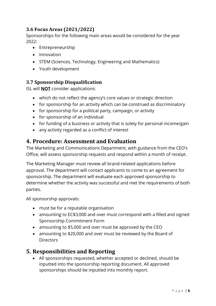## **3.6 Focus Areas (2021/2022)**

Sponsorships for the following main areas would be considered for the year 2022:

- Entrepreneurship
- Innovation
- STEM (Sciences, Technology, Engineering and Mathematics)
- Youth development

#### **3.7 Sponsorship Disqualification**

ISL will **NOT** consider applications:

- which do not reflect the agency's core values or strategic direction
- for sponsorship for an activity which can be construed as discriminatory
- for sponsorship for a political party, campaign, or activity
- for sponsorship of an individual
- for funding of a business or activity that is solely for personal income/gain
- any activity regarded as a conflict of interest

## **4. Procedure: Assessment and Evaluation**

The Marketing and Communications Department, with guidance from the CEO's Office, will assess sponsorship requests and respond within a month of receipt.

The Marketing Manager must review all brand-related applications before approval. The department will contact applicants to come to an agreement for sponsorship. The department will evaluate each approved sponsorship to determine whether the activity was successful and met the requirements of both parties.

All sponsorship approvals:

- must be for a reputable organisation
- amounting to EC\$3,000 and over must correspond with a filled and signed Sponsorship Commitment Form
- amounting to \$5,000 and over must be approved by the CEO
- amounting to \$20,000 and over must be reviewed by the Board of **Directors**

# **5. Responsibilities and Reporting**

• All sponsorships requested, whether accepted or declined, should be inputted into the sponsorship reporting document. All approved sponsorships should be inputted into monthly report.